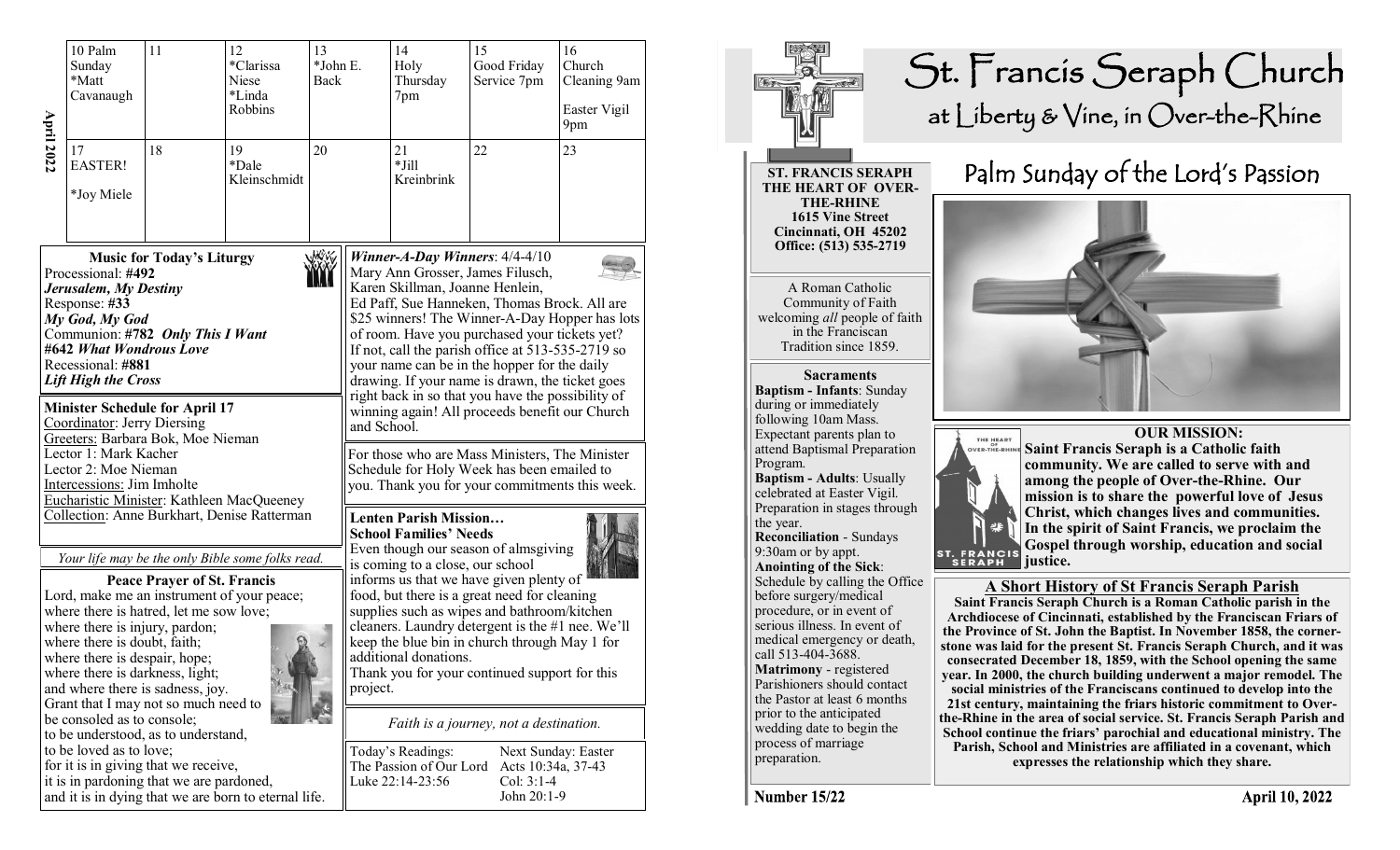| <b>April 2022</b> | $10$ $\mathrm{Palm}$<br>11<br>12<br>13<br>*Clarissa<br>Sunday<br>*Matt<br>Niese<br>*Linda<br>Cavanaugh<br>Robbins                                                                                                                                                                                                                                                                                                                                                                                                                                                                                                                                                                                                                                                                                                                                                                                                                                                                                                                                                                                                                                                                    |  | *John E.<br>Back |  | 14<br>Holy<br>Thursday<br>7pm | 15<br>Good Friday<br>Service 7pm                                                                                                                                                                                                                                                                                                                                                                                                                                                                                          | 16<br>Church<br>Cleaning 9am<br>Easter Vigil<br>9pm |  |  |
|-------------------|--------------------------------------------------------------------------------------------------------------------------------------------------------------------------------------------------------------------------------------------------------------------------------------------------------------------------------------------------------------------------------------------------------------------------------------------------------------------------------------------------------------------------------------------------------------------------------------------------------------------------------------------------------------------------------------------------------------------------------------------------------------------------------------------------------------------------------------------------------------------------------------------------------------------------------------------------------------------------------------------------------------------------------------------------------------------------------------------------------------------------------------------------------------------------------------|--|------------------|--|-------------------------------|---------------------------------------------------------------------------------------------------------------------------------------------------------------------------------------------------------------------------------------------------------------------------------------------------------------------------------------------------------------------------------------------------------------------------------------------------------------------------------------------------------------------------|-----------------------------------------------------|--|--|
|                   | 19<br>17<br>18<br>20<br><b>EASTER!</b><br>*Dale<br>Kleinschmidt<br>*Joy Miele                                                                                                                                                                                                                                                                                                                                                                                                                                                                                                                                                                                                                                                                                                                                                                                                                                                                                                                                                                                                                                                                                                        |  |                  |  | 21<br>$*$ Jill<br>Kreinbrink  | 22                                                                                                                                                                                                                                                                                                                                                                                                                                                                                                                        | 23                                                  |  |  |
|                   | WWW<br><b>Music for Today's Liturgy</b><br>Processional: #492<br>Jerusalem, My Destiny<br>Response: #33<br>My God, My God<br>Communion: #782 Only This I Want<br>#642 What Wondrous Love<br>Recessional: #881<br><b>Lift High the Cross</b><br><b>Minister Schedule for April 17</b><br>Coordinator: Jerry Diersing<br>Greeters: Barbara Bok, Moe Nieman<br>Lector 1: Mark Kacher<br>Lector 2: Moe Nieman<br>Intercessions: Jim Imholte<br>Eucharistic Minister: Kathleen MacQueeney<br>Collection: Anne Burkhart, Denise Ratterman<br>Your life may be the only Bible some folks read.<br><b>Peace Prayer of St. Francis</b><br>Lord, make me an instrument of your peace;<br>where there is hatred, let me sow love;<br>where there is injury, pardon;<br>where there is doubt, faith;<br>where there is despair, hope;<br>where there is darkness, light;<br>and where there is sadness, joy.<br>Grant that I may not so much need to<br>be consoled as to console;<br>to be understood, as to understand,<br>to be loved as to love;<br>for it is in giving that we receive,<br>it is in pardoning that we are pardoned,<br>and it is in dying that we are born to eternal life. |  |                  |  |                               | Winner-A-Day Winners: $4/4-4/10$<br>Mary Ann Grosser, James Filusch,<br>Karen Skillman, Joanne Henlein,<br>Ed Paff, Sue Hanneken, Thomas Brock. All are<br>\$25 winners! The Winner-A-Day Hopper has lots<br>of room. Have you purchased your tickets yet?<br>If not, call the parish office at 513-535-2719 so<br>your name can be in the hopper for the daily<br>drawing. If your name is drawn, the ticket goes<br>right back in so that you have the possibility of<br>winning again! All proceeds benefit our Church |                                                     |  |  |
|                   |                                                                                                                                                                                                                                                                                                                                                                                                                                                                                                                                                                                                                                                                                                                                                                                                                                                                                                                                                                                                                                                                                                                                                                                      |  |                  |  |                               | and School.<br>For those who are Mass Ministers, The Minister<br>Schedule for Holy Week has been emailed to<br>you. Thank you for your commitments this week.                                                                                                                                                                                                                                                                                                                                                             |                                                     |  |  |
|                   |                                                                                                                                                                                                                                                                                                                                                                                                                                                                                                                                                                                                                                                                                                                                                                                                                                                                                                                                                                                                                                                                                                                                                                                      |  |                  |  |                               | <b>Lenten Parish Mission</b><br><b>School Families' Needs</b><br>Even though our season of almsgiving<br>is coming to a close, our school<br>informs us that we have given plenty of<br>food, but there is a great need for cleaning<br>supplies such as wipes and bathroom/kitchen<br>cleaners. Laundry detergent is the #1 nee. We'll<br>keep the blue bin in church through May 1 for<br>additional donations.<br>Thank you for your continued support for this<br>project.                                            |                                                     |  |  |
|                   |                                                                                                                                                                                                                                                                                                                                                                                                                                                                                                                                                                                                                                                                                                                                                                                                                                                                                                                                                                                                                                                                                                                                                                                      |  |                  |  |                               | Faith is a journey, not a destination.                                                                                                                                                                                                                                                                                                                                                                                                                                                                                    |                                                     |  |  |
|                   |                                                                                                                                                                                                                                                                                                                                                                                                                                                                                                                                                                                                                                                                                                                                                                                                                                                                                                                                                                                                                                                                                                                                                                                      |  |                  |  |                               | Today's Readings:<br>Next Sunday: Easter<br>The Passion of Our Lord<br>Acts 10:34a, 37-43<br>Luke 22:14-23:56<br>Col: $3:1-4$<br>John 20:1-9                                                                                                                                                                                                                                                                                                                                                                              |                                                     |  |  |



**April 10, 2022**